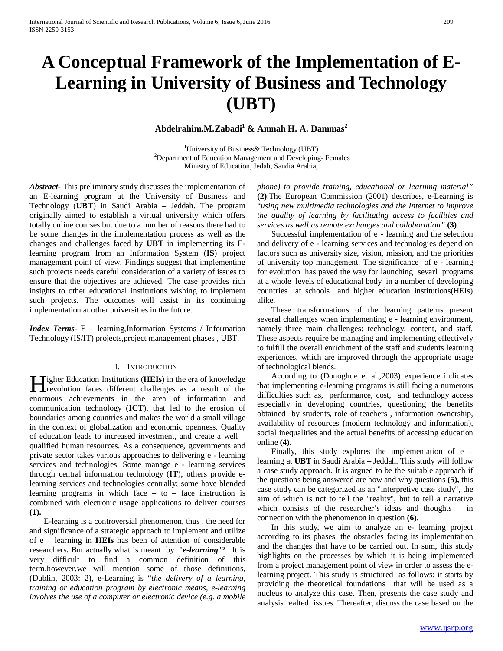# **A Conceptual Framework of the Implementation of E-Learning in University of Business and Technology (UBT)**

## **Abdelrahim.M.Zabadi1 & Amnah H. A. Dammas<sup>2</sup>**

<sup>1</sup>University of Business& Technology (UBT)<sup>2</sup><br>Penertment of Education Management and Dauglaping <sup>2</sup>Department of Education Management and Developing-Females Ministry of Education, Jedah, Saudia Arabia,

*Abstract***-** This preliminary study discusses the implementation of an E-learning program at the University of Business and Technology (**UBT**) in Saudi Arabia – Jeddah. The program originally aimed to establish a virtual university which offers totally online courses but due to a number of reasons there had to be some changes in the implementation process as well as the changes and challenges faced by **UBT** in implementing its Elearning program from an Information System (**IS**) project management point of view. Findings suggest that implementing such projects needs careful consideration of a variety of issues to ensure that the objectives are achieved. The case provides rich insights to other educational institutions wishing to implement such projects. The outcomes will assist in its continuing implementation at other universities in the future.

*Index Terms*- E – learning,Information Systems / Information Technology (IS/IT) projects,project management phases , UBT.

#### I. INTRODUCTION

**Tigher Education Institutions (HEIs) in the era of knowledge** Higher Education Institutions (HEIs) in the era of knowledge<br>revolution faces different challenges as a result of the enormous achievements in the area of information and communication technology (**ICT**), that led to the erosion of boundaries among countries and makes the world a small village in the context of globalization and economic openness. Quality of education leads to increased investment, and create a well – qualified human resources. As a consequence, governments and private sector takes various approaches to delivering e - learning services and technologies. Some manage e - learning services through central information technology (**IT**); others provide elearning services and technologies centrally; some have blended learning programs in which face  $-$  to  $-$  face instruction is combined with electronic usage applications to deliver courses **(1).**

 E-learning is a controversial phenomenon, thus , the need for and significance of a strategic approach to implement and utilize of e – learning in **HEIs** has been of attention of considerable researchers**.** But actually what is meant by "*e-learning*"? . It is very difficult to find a common definition of this term,however,we will mention some of those definitions, (Dublin, 2003: 2), e-Learning is "*the delivery of a learning, training or education program by electronic means, e-learning involves the use of a computer or electronic device (e.g. a mobile* 

*phone) to provide training, educational or learning material"* **(2)**.The European Commission (2001) describes, e-Learning is "*using new multimedia technologies and the Internet to improve the quality of learning by facilitating access to facilities and services as well as remote exchanges and collaboration"* **(3)***.*

 Successful implementation of e - learning and the selection and delivery of e - learning services and technologies depend on factors such as university size, vision, mission, and the priorities of university top management. The significance of e - learning for evolution has paved the way for launching sevarl programs at a whole levels of educational body in a number of developing countries at schools and higher education institutions(HEIs) alike.

 These transformations of the learning patterns present several challenges when implementing e - learning environment, namely three main challenges: technology, content, and staff. These aspects require be managing and implementing effectively to fulfill the overall enrichment of the staff and students learning experiences, which are improved through the appropriate usage of technological blends.

 According to (Donoghue et al.,2003) experience indicates that implementing e-learning programs is still facing a numerous difficulties such as, performance, cost, and technology access especially in developing countries, questioning the benefits obtained by students, role of teachers , information ownership, availability of resources (modern technology and information), social inequalities and the actual benefits of accessing education online **(4)**.

Finally, this study explores the implementation of  $e$  – learning at **UBT** in Saudi Arabia – Jeddah. This study will follow a case study approach. It is argued to be the suitable approach if the questions being answered are how and why questions **(5),** this case study can be categorized as an "interpretive case study", the aim of which is not to tell the "reality", but to tell a narrative which consists of the researcher's ideas and thoughts in connection with the phenomenon in question **(6)**.

 In this study, we aim to analyze an e- learning project according to its phases, the obstacles facing its implementation and the changes that have to be carried out. In sum, this study highlights on the processes by which it is being implemented from a project management point of view in order to assess the elearning project. This study is structured as follows: it starts by providing the theoretical foundations that will be used as a nucleus to analyze this case. Then, presents the case study and analysis realted issues. Thereafter, discuss the case based on the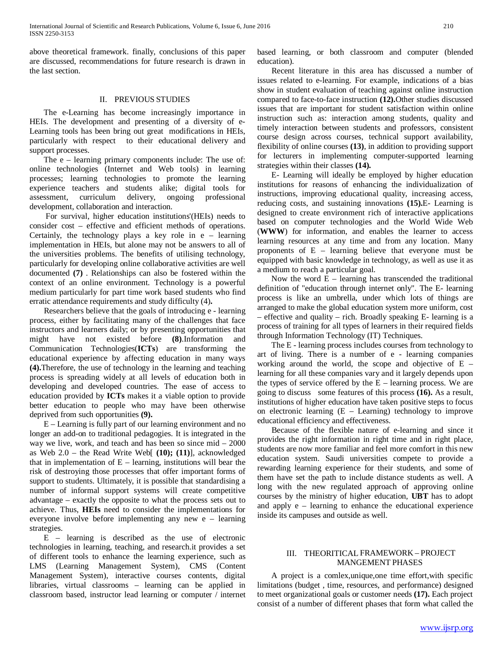above theoretical framework. finally, conclusions of this paper are discussed, recommendations for future research is drawn in the last section.

#### II. PREVIOUS STUDIES

 The e-Learning has become increasingly importance in HEIs. The development and presenting of a diversity of e-Learning tools has been bring out great modifications in HEIs, particularly with respect to their educational delivery and support processes.

The e – learning primary components include: The use of: online technologies (Internet and Web tools) in learning processes; learning technologies to promote the learning experience teachers and students alike; digital tools for assessment, curriculum delivery, ongoing professional development, collaboration and interaction.

 For survival, higher education institutions'(HEIs) needs to consider cost – effective and efficient methods of operations. Certainly, the technology plays a key role in e – learning implementation in HEIs, but alone may not be answers to all of the universities problems. The benefits of utilising technology, particularly for developing online collaborative activities are well documented **(7)** . Relationships can also be fostered within the context of an online environment. Technology is a powerful medium particularly for part time work based students who find erratic attendance requirements and study difficulty (4)**.**

 Researchers believe that the goals of introducing e - learning process, either by facilitating many of the challenges that face instructors and learners daily; or by presenting opportunities that might have not existed before **(8)**.Information and Communication Technologies(**ICTs**) are transforming the educational experience by affecting education in many ways **(4).**Therefore, the use of technology in the learning and teaching process is spreading widely at all levels of education both in developing and developed countries. The ease of access to education provided by **ICTs** makes it a viable option to provide better education to people who may have been otherwise deprived from such opportunities **(9).**

 E – Learning is fully part of our learning environment and no longer an add-on to traditional pedagogies. It is integrated in the way we live, work, and teach and has been so since mid – 2000 as Web 2.0 – the Read Write Web[ **(10); (11)**], acknowledged that in implementation of  $E$  – learning, institutions will bear the risk of destroying those processes that offer important forms of support to students. Ultimately, it is possible that standardising a number of informal support systems will create competitive advantage – exactly the opposite to what the process sets out to achieve. Thus, **HEIs** need to consider the implementations for everyone involve before implementing any new e – learning strategies.

 E – learning is described as the use of electronic technologies in learning, teaching, and research.it provides a set of different tools to enhance the learning experience, such as LMS (Learning Management System), CMS (Content Management System), interactive courses contents, digital libraries, virtual classrooms – learning can be applied in classroom based, instructor lead learning or computer / internet based learning, or both classroom and computer (blended education).

 Recent literature in this area has discussed a number of issues related to e-learning. For example, indications of a bias show in student evaluation of teaching against online instruction compared to face-to-face instruction **(12).**Other studies discussed issues that are important for student satisfaction within online instruction such as: interaction among students, quality and timely interaction between students and professors, consistent course design across courses, technical support availability, flexibility of online courses **(13)**, in addition to providing support for lecturers in implementing computer-supported learning strategies within their classes **(14).**

 E- Learning will ideally be employed by higher education institutions for reasons of enhancing the individualization of instructions, improving educational quality, increasing access, reducing costs, and sustaining innovations **(15).**E- Learning is designed to create environment rich of interactive applications based on computer technologies and the World Wide Web (**WWW**) for information, and enables the learner to access learning resources at any time and from any location. Many proponents of E – learning believe that everyone must be equipped with basic knowledge in technology, as well as use it as a medium to reach a particular goal.

Now the word  $E -$  learning has transcended the traditional definition of "education through internet only". The E- learning process is like an umbrella, under which lots of things are arranged to make the global education system more uniform, cost – effective and quality – rich. Broadly speaking E- learning is a process of training for all types of learners in their required fields through Information Technology (IT) Techniques.

 The E - learning process includes courses from technology to art of living. There is a number of e - learning companies working around the world, the scope and objective of  $E$ learning for all these companies vary and it largely depends upon the types of service offered by the  $E$  – learning process. We are going to discuss some features of this process **(16).** As a result, institutions of higher education have taken positive steps to focus on electronic learning  $(E - Learning)$  technology to improve educational efficiency and effectiveness.

 Because of the flexible nature of e-learning and since it provides the right information in right time and in right place, students are now more familiar and feel more comfort in this new education system. Saudi universities compete to provide a rewarding learning experience for their students, and some of them have set the path to include distance students as well. A long with the new regulated approach of approving online courses by the ministry of higher education, **UBT** has to adopt and apply e – learning to enhance the educational experience inside its campuses and outside as well.

#### III. THEORITICAL FRAMEWORK – PROJECT MANGEMENT PHASES

 A project is a comlex,unique,one time effort,with specific limitations (budget , time, resources, and performance) designed to meet organizational goals or customer needs **(17).** Each project consist of a number of different phases that form what called the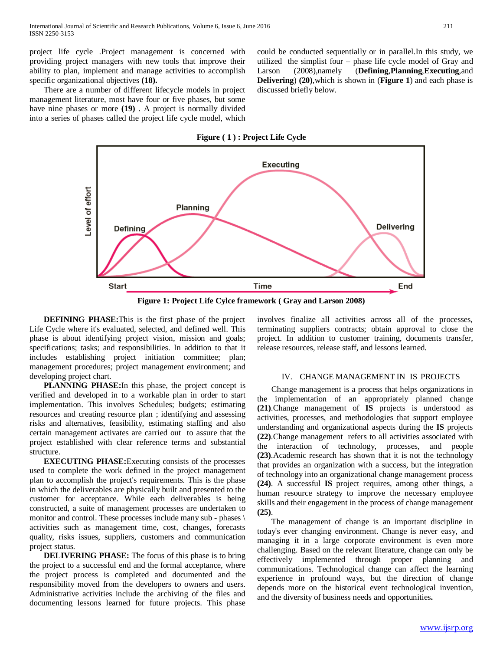project life cycle .Project management is concerned with providing project managers with new tools that improve their ability to plan, implement and manage activities to accomplish specific organizational objectives **(18).**

 There are a number of different lifecycle models in project management literature, most have four or five phases, but some have nine phases or more **(19)** . A project is normally divided into a series of phases called the project life cycle model, which could be conducted sequentially or in parallel.In this study, we utilized the simplist four – phase life cycle model of Gray and Larson (2008),namely (**Defining**,**Planning**,**Executing**,and **Delivering**) **(20)**,which is shown in (**Figure 1**) and each phase is discussed briefly below.

**Figure ( 1 ) : Project Life Cycle**



**Figure 1: Project Life Cylce framework ( Gray and Larson 2008)**

 **DEFINING PHASE:**This is the first phase of the project Life Cycle where it's evaluated, selected, and defined well. This phase is about identifying project vision, mission and goals; specifications; tasks; and responsibilities. In addition to that it includes establishing project initiation committee; plan; management procedures; project management environment; and developing project chart.

 **PLANNING PHASE:**In this phase, the project concept is verified and developed in to a workable plan in order to start implementation. This involves Schedules; budgets; estimating resources and creating resource plan ; identifying and assessing risks and alternatives, feasibility, estimating staffing and also certain management activates are carried out to assure that the project established with clear reference terms and substantial structure.

 **EXECUTING PHASE:**Executing consists of the processes used to complete the work defined in the project management plan to accomplish the project's requirements. This is the phase in which the deliverables are physically built and presented to the customer for acceptance. While each deliverables is being constructed, a suite of management processes are undertaken to monitor and control. These processes include many sub - phases \ activities such as management time, cost, changes, forecasts quality, risks issues, suppliers, customers and communication project status.

 **DELIVERING PHASE:** The focus of this phase is to bring the project to a successful end and the formal acceptance, where the project process is completed and documented and the responsibility moved from the developers to owners and users. Administrative activities include the archiving of the files and documenting lessons learned for future projects. This phase

involves finalize all activities across all of the processes, terminating suppliers contracts; obtain approval to close the project. In addition to customer training, documents transfer, release resources, release staff, and lessons learned.

#### IV. CHANGE MANAGEMENT IN IS PROJECTS

 Change management is a process that helps organizations in the implementation of an appropriately planned change **(21)**.Change management of **IS** projects is understood as activities, processes, and methodologies that support employee understanding and organizational aspects during the **IS** projects **(22)**.Change management refers to all activities associated with the interaction of technology, processes, and people **(23)**.Academic research has shown that it is not the technology that provides an organization with a success, but the integration of technology into an organizational change management process **(24)**. A successful **IS** project requires, among other things, a human resource strategy to improve the necessary employee skills and their engagement in the process of change management **(25)**.

 The management of change is an important discipline in today's ever changing environment. Change is never easy, and managing it in a large corporate environment is even more challenging. Based on the relevant literature, change can only be effectively implemented through proper planning and communications. Technological change can affect the learning experience in profound ways, but the direction of change depends more on the historical event technological invention, and the diversity of business needs and opportunities**.**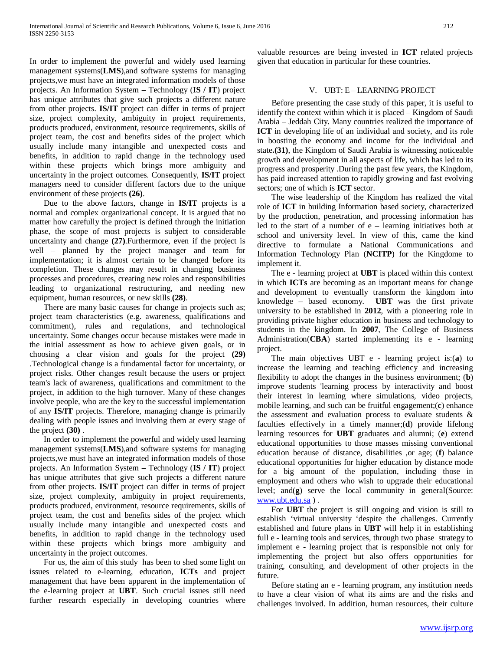In order to implement the powerful and widely used learning management systems(**LMS**),and software systems for managing projects,we must have an integrated information models of those projects. An Information System – Technology (**IS / IT**) project has unique attributes that give such projects a different nature from other projects. **IS/IT** project can differ in terms of project size, project complexity, ambiguity in project requirements, products produced, environment, resource requirements, skills of project team, the cost and benefits sides of the project which usually include many intangible and unexpected costs and benefits, in addition to rapid change in the technology used within these projects which brings more ambiguity and uncertainty in the project outcomes. Consequently, **IS/IT** project managers need to consider different factors due to the unique environment of these projects **(26)**.

 Due to the above factors, change in **IS/IT** projects is a normal and complex organizational concept. It is argued that no matter how carefully the project is defined through the initiation phase, the scope of most projects is subject to considerable uncertainty and change **(27)**.Furthermore, even if the project is well – planned by the project manager and team for implementation; it is almost certain to be changed before its completion. These changes may result in changing business processes and procedures, creating new roles and responsibilities leading to organizational restructuring, and needing new equipment, human resources, or new skills **(28)**.

 There are many basic causes for change in projects such as; project team characteristics (e.g. awareness, qualifications and commitment), rules and regulations, and technological uncertainty. Some changes occur because mistakes were made in the initial assessment as how to achieve given goals, or in choosing a clear vision and goals for the project **(29)** .Technological change is a fundamental factor for uncertainty, or project risks. Other changes result because the users or project team's lack of awareness, qualifications and commitment to the project, in addition to the high turnover. Many of these changes involve people, who are the key to the successful implementation of any **IS/IT** projects. Therefore, managing change is primarily dealing with people issues and involving them at every stage of the project **(30)** .

 In order to implement the powerful and widely used learning management systems(**LMS**),and software systems for managing projects,we must have an integrated information models of those projects. An Information System – Technology (**IS / IT**) project has unique attributes that give such projects a different nature from other projects. **IS/IT** project can differ in terms of project size, project complexity, ambiguity in project requirements, products produced, environment, resource requirements, skills of project team, the cost and benefits sides of the project which usually include many intangible and unexpected costs and benefits, in addition to rapid change in the technology used within these projects which brings more ambiguity and uncertainty in the project outcomes.

 For us, the aim of this study has been to shed some light on issues related to e-learning, education, **ICTs** and project management that have been apparent in the implementation of the e-learning project at **UBT**. Such crucial issues still need further research especially in developing countries where valuable resources are being invested in **ICT** related projects given that education in particular for these countries.

### V. UBT: E – LEARNING PROJECT

 Before presenting the case study of this paper, it is useful to identify the context within which it is placed – Kingdom of Saudi Arabia – Jeddah City. Many countries realized the importance of **ICT** in developing life of an individual and society, and its role in boosting the economy and income for the individual and state**.(31)**, the Kingdom of Saudi Arabia is witnessing noticeable growth and development in all aspects of life, which has led to its progress and prosperity .During the past few years, the Kingdom, has paid increased attention to rapidly growing and fast evolving sectors; one of which is **ICT** sector.

 The wise leadership of the Kingdom has realized the vital role of **ICT** in building Information based society, characterized by the production, penetration, and processing information has led to the start of a number of e – learning initiatives both at school and university level. In view of this, came the kind directive to formulate a National Communications and Information Technology Plan (**NCITP**) for the Kingdome to implement it.

 The e - learning project at **UBT** is placed within this context in which **ICTs** are becoming as an important means for change and development to eventually transform the kingdom into knowledge – based economy. **UBT** was the first private university to be established in **2012**, with a pioneering role in providing private higher education in business and technology to students in the kingdom. In **2007**, The College of Business Administration(**CBA**) started implementing its e - learning project.

 The main objectives UBT e - learning project is:(**a**) to increase the learning and teaching efficiency and increasing flexibility to adopt the changes in the business environment; (**b**) improve students 'learning process by interactivity and boost their interest in learning where simulations, video projects, mobile learning, and such can be fruitful engagement;(**c**) enhance the assessment and evaluation process to evaluate students & faculties effectively in a timely manner;(**d**) provide lifelong learning resources for **UBT** graduates and alumni; (**e**) extend educational opportunities to those masses missing conventional education because of distance, disabilities ,or age; (**f**) balance educational opportunities for higher education by distance mode for a big amount of the population, including those in employment and others who wish to upgrade their educational level; and(**g**) serve the local community in general(Source: [www.ubt.edu.sa](http://www.ubt.edu.sa/) ) .

 For **UBT** the project is still ongoing and vision is still to establish 'virtual university 'despite the challenges. Currently established and future plans in **UBT** will help it in establishing full e - learning tools and services, through two phase strategy to implement e - learning project that is responsible not only for implementing the project but also offers opportunities for training, consulting, and development of other projects in the future.

 Before stating an e - learning program, any institution needs to have a clear vision of what its aims are and the risks and challenges involved. In addition, human resources, their culture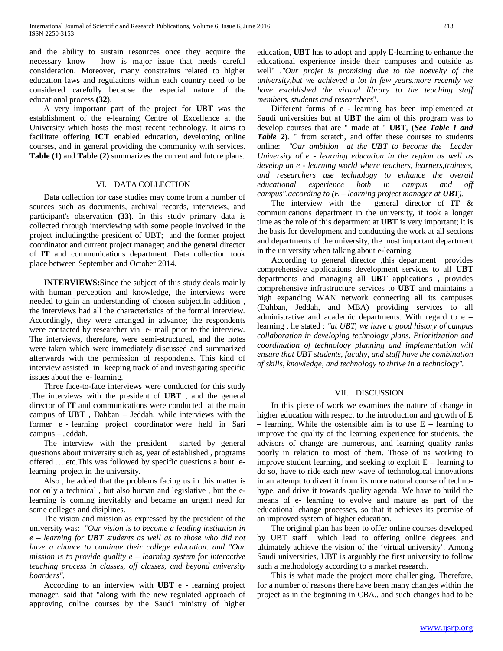and the ability to sustain resources once they acquire the necessary know – how is major issue that needs careful consideration. Moreover, many constraints related to higher education laws and regulations within each country need to be considered carefully because the especial nature of the educational process **(32**).

 A very important part of the project for **UBT** was the establishment of the e-learning Centre of Excellence at the University which hosts the most recent technology. It aims to facilitate offering **ICT** enabled education, developing online courses, and in general providing the community with services. **Table (1)** and **Table (2)** summarizes the current and future plans.

#### VI. DATA COLLECTION

 Data collection for case studies may come from a number of sources such as documents, archival records, interviews, and participant's observation **(33)**. In this study primary data is collected through interviewing with some people involved in the project including:the president of UBT; and the former project coordinator and current project manager; and the general director of **IT** and communications department. Data collection took place between September and October 2014.

 **INTERVIEWS:**Since the subject of this study deals mainly with human perception and knowledge, the interviews were needed to gain an understanding of chosen subject.In addition , the interviews had all the characteristics of the formal interview. Accordingly, they were arranged in advance; the respondents were contacted by researcher via e- mail prior to the interview. The interviews, therefore, were semi-structured, and the notes were taken which were immediately discussed and summarized afterwards with the permission of respondents. This kind of interview assisted in keeping track of and investigating specific issues about the e- learning.

 Three face-to-face interviews were conducted for this study .The interviews with the president of **UBT** , and the general director of **IT** and communications were conducted at the main campus of **UBT** , Dahban – Jeddah, while interviews with the former e - learning project coordinator were held in Sari campus – Jeddah.

 The interview with the president started by general questions about university such as, year of established , programs offered ….etc.This was followed by specific questions a bout elearning project in the university.

 Also , he added that the problems facing us in this matter is not only a technical , but also human and legislative , but the elearning is coming inevitably and became an urgent need for some colleges and disiplines.

 The vision and mission as expressed by the president of the university was: "*Our vision is to become a leading institution in e – learning for UBT students as well as to those who did not have a chance to continue their college education. and "Our mission is to provide quality e – learning system for interactive teaching process in classes, off classes, and beyond university boarders".*

 According to an interview with **UBT** e - learning project manager, said that "along with the new regulated approach of approving online courses by the Saudi ministry of higher education, **UBT** has to adopt and apply E-learning to enhance the educational experience inside their campuses and outside as well" .*"Our projet is promising due to the noevelty of the university,but we achieved a lot in few years.more recently we have established the virtual library to the teaching staff members, students and researchers*".

 Different forms of e - learning has been implemented at Saudi universities but at **UBT** the aim of this program was to develop courses that are " made at " **UBT**, (*See Table 1 and Table 2*). " from scratch, and offer these courses to students online: *"Our ambition at the UBT to become the Leader University of e - learning education in the region as well as develop an e - learning world where teachers, learners,trainees, and researchers use technology to enhance the overall educational experience both in campus and off campus",according to (E – learning project manager at UBT).*

 The interview with the general director of **IT** & communications department in the university, it took a longer time as the role of this department at **UBT** is very important; it is the basis for development and conducting the work at all sections and departments of the university, the most important department in the university when talking about e-learning.

 According to general director ,this department provides comprehensive applications development services to all **UBT** departments and managing all **UBT** applications , provides comprehensive infrastructure services to **UBT** and maintains a high expanding WAN network connecting all its campuses (Dahban, Jeddah, and MBA) providing services to all administrative and academic departments. With regard to e – learning , he stated : *"at UBT, we have a good history of campus collaboration in developing technology plans. Prioritization and coordination of technology planning and implementation will ensure that UBT students, faculty, and staff have the combination of skills, knowledge, and technology to thrive in a technology".*

#### VII. DISCUSSION

 In this piece of work we examines the nature of change in higher education with respect to the introduction and growth of E – learning. While the ostensible aim is to use  $E$  – learning to improve the quality of the learning experience for students, the advisors of change are numerous, and learning quality ranks poorly in relation to most of them. Those of us working to improve student learning, and seeking to exploit  $E$  – learning to do so, have to ride each new wave of technological innovations in an attempt to divert it from its more natural course of technohype, and drive it towards quality agenda. We have to build the means of e- learning to evolve and mature as part of the educational change processes, so that it achieves its promise of an improved system of higher education.

 The original plan has been to offer online courses developed by UBT staff which lead to offering online degrees and ultimately achieve the vision of the 'virtual university'. Among Saudi universities, UBT is arguably the first university to follow such a methodology according to a market research.

 This is what made the project more challenging. Therefore, for a number of reasons there have been many changes within the project as in the beginning in CBA., and such changes had to be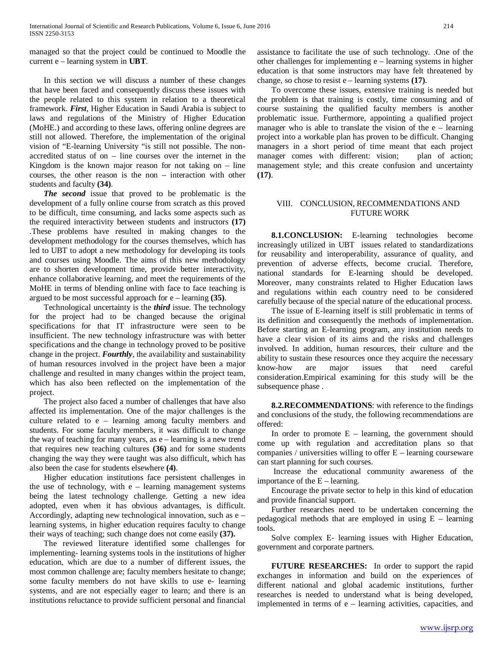managed so that the project could be continued to Moodle the current e – learning system in **UBT**.

 In this section we will discuss a number of these changes that have been faced and consequently discuss these issues with the people related to this system in relation to a theoretical framework. *First*, Higher Education in Saudi Arabia is subject to laws and regulations of the Ministry of Higher Education (MoHE.) and according to these laws, offering online degrees are still not allowed. Therefore, the implementation of the original vision of "E-learning University "is still not possible. The nonaccredited status of on – line courses over the internet in the Kingdom is the known major reason for not taking on  $-$  line courses, the other reason is the non – interaction with other students and faculty **(34)**.

 *The second* issue that proved to be problematic is the development of a fully online course from scratch as this proved to be difficult, time consuming, and lacks some aspects such as the required interactivity between students and instructors **(17)** .These problems have resulted in making changes to the development methodology for the courses themselves, which has led to UBT to adopt a new methodology for developing its tools and courses using Moodle. The aims of this new methodology are to shorten development time, provide better interactivity, enhance collaborative learning, and meet the requirements of the MoHE in terms of blending online with face to face teaching is argued to be most successful approach for e – learning **(35)**.

 Technological uncertainty is the *third* issue. The technology for the project had to be changed because the original specifications for that IT infrastructure were seen to be insufficient. The new technology infrastructure was with better specifications and the change in technology proved to be positive change in the project. *Fourthly*, the availability and sustainability of human resources involved in the project have been a major challenge and resulted in many changes within the project team, which has also been reflected on the implementation of the project.

 The project also faced a number of challenges that have also affected its implementation. One of the major challenges is the culture related to e – learning among faculty members and students. For some faculty members, it was difficult to change the way of teaching for many years, as e – learning is a new trend that requires new teaching cultures **(36)** and for some students changing the way they were taught was also difficult, which has also been the case for students elsewhere **(4)**.

 Higher education institutions face persistent challenges in the use of technology, with  $e$  – learning management systems being the latest technology challenge. Getting a new idea adopted, even when it has obvious advantages, is difficult. Accordingly, adapting new technological innovation, such as e – learning systems, in higher education requires faculty to change their ways of teaching; such change does not come easily **(37).**

 The reviewed literature identified some challenges for implementing- learning systems tools in the institutions of higher education, which are due to a number of different issues, the most common challenge are; faculty members hesitate to change; some faculty members do not have skills to use e- learning systems, and are not especially eager to learn; and there is an institutions reluctance to provide sufficient personal and financial assistance to facilitate the use of such technology. .One of the other challenges for implementing e – learning systems in higher education is that some instructors may have felt threatened by change, so chose to resist e – learning systems **(17)**.

 To overcome these issues, extensive training is needed but the problem is that training is costly, time consuming and of course sustaining the qualified faculty members is another problematic issue. Furthermore, appointing a qualified project manager who is able to translate the vision of the  $e$  – learning project into a workable plan has proven to be difficult. Changing managers in a short period of time meant that each project manager comes with different: vision; plan of action; management style; and this create confusion and uncertainty **(17)**.

#### VIII. CONCLUSION, RECOMMENDATIONS AND FUTURE WORK

 **8.1.CONCLUSION:** E-learning technologies become increasingly utilized in UBT issues related to standardizations for reusability and interoperability, assurance of quality, and prevention of adverse effects, become crucial. Therefore, national standards for E-learning should be developed. Moreover, many constraints related to Higher Education laws and regulations within each country need to be considered carefully because of the special nature of the educational process.

 The issue of E-learning itself is still problematic in terms of its definition and consequently the methods of implementation. Before starting an E-learning program, any institution needs to have a clear vision of its aims and the risks and challenges involved. In addition, human resources, their culture and the ability to sustain these resources once they acquire the necessary know-how are major issues that need careful consideration.Empirical examining for this study will be the subsequence phase .

 **8.2.RECOMMENDATIONS**: with reference to the findings and conclusions of the study, the following recommendations are offered:

In order to promote  $E -$  learning, the government should come up with regulation and accreditation plans so that companies / universities willing to offer  $E$  – learning courseware can start planning for such courses.

 Increase the educational community awareness of the importance of the  $E$  – learning.

 Encourage the private sector to help in this kind of education and provide financial support.

 Further researches need to be undertaken concerning the pedagogical methods that are employed in using  $E$  – learning tools.

 Solve complex E- learning issues with Higher Education, government and corporate partners.

 **FUTURE RESEARCHES:** In order to support the rapid exchanges in information and build on the experiences of different national and global academic institutions, further researches is needed to understand what is being developed, implemented in terms of e – learning activities, capacities, and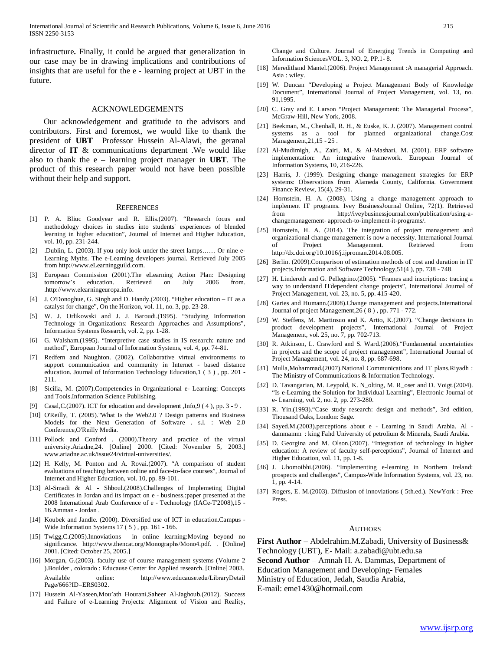infrastructure**.** Finally, it could be argued that generalization in our case may be in drawing implications and contributions of insights that are useful for the e - learning project at UBT in the future.

#### ACKNOWLEDGEMENTS

 Our acknowledgement and gratitude to the advisors and contributors. First and foremost, we would like to thank the president of **UBT** Professor Hussein Al-Alawi, the geranal director of **IT** & communications department .We would like also to thank the e – learning project manager in **UBT**. The product of this research paper would not have been possible without their help and support.

#### **REFERENCES**

- [1] P. A. Bliuc Goodyear and R. Ellis.(2007). "Research focus and methodology choices in studies into students' experiences of blended learning in higher education", Journal of Internet and Higher Education, vol. 10, pp. 231-244.
- [2] .Dublin, L. (2003). If you only look under the street lamps…… Or nine e-Learning Myths. The e-Learning developers journal. Retrieved July 2005 from http://www.eLearningguild.com.
- [3] European Commission (2001).The eLearning Action Plan: Designing tomorrow's education. Retrieved on July 2006 from. .http://www.elearningeuropa.info.
- [4] J. O'Donoghue, G. Singh and D. Handy.(2003). "Higher education IT as a catalyst for change", On the Horizon, vol. 11, no. 3, pp. 23-28.
- [5] W. J. Orlikowski and J. J. Baroudi.(1995). "Studying Information Technology in Organizations: Research Approaches and Assumptions", Information Systems Research, vol. 2, pp. 1-28.
- [6] G. Walsham.(1995). "Interpretive case studies in IS research: nature and method", European Journal of Information Systems, vol. 4, pp. 74-81.
- [7] Redfern and Naughton. (2002). Collaborative virtual environments to support communication and community in Internet - based distance education. Journal of Information Technology Education,1 ( 3 ) , pp. 201 - 211.
- [8] Sicilia, M. (2007).Competencies in Organizational e- Learning: Concepts and Tools.Information Science Publishing.
- [9] Casal, C. (2007). ICT for education and development , Info, 9 (4), pp. 3 9.
- [10] O'Reilly, T. (2005)."What Is the Web2.0 ? Design patterns and Business Models for the Next Generation of Software . s.l. : Web 2.0 Conference,O'Reilly Media.
- [11] Pollock and Conford . (2000). Theory and practice of the virtual university.Ariadne,24. [Online] 2000. [Cited: November 5, 2003.] www.ariadne.ac.uk/issue24/virtual-universities/.
- [12] H. Kelly, M. Ponton and A. Rovai.(2007). "A comparison of student evaluations of teaching between online and face-to-face courses", Journal of Internet and Higher Education, vol. 10, pp. 89-101.
- [13] Al-Smadi & Al Shboul.(2008).Challenges of Implemeting Digital Certificates in Jordan and its impact on e - business.:paper presented at the 2008 International Arab Conference of e - Technology (IACe-T'2008),15 - 16.Amman - Jordan .
- [14] Koubek and Jandle. (2000). Diversified use of ICT in education.Campus -Wide Information Systems 17 ( 5 ) , pp. 161 - 166.
- [15] Twigg,C.(2005).Innoviations in online learning:Moving beyond no significance. http://www.thencat.org/Monographs/Mono4.pdf. . [Online] 2001. [Cited: October 25, 2005.]
- [16] Morgan, G.(2003). faculty use of course management systems (Volume 2 ).Boulder , colorado : Educause Center for Applied research. [Online] 2003. Available online: http://www.educause.edu/LibraryDetail Page/666?ID=ERS0302.
- [17] Hussein Al-Yaseen, Mou'ath Hourani, Saheer Al-Jaghoub.(2012). Success and Failure of e-Learning Projects: Alignment of Vision and Reality,

Change and Culture. Journal of Emerging Trends in Computing and Information SciencesVOL. 3, NO. 2, PP.1- 8.

- [18] Meredithand Mantel.(2006). Project Management :A managerial Approach. Asia : wiley.
- [19] W. Duncan "Developing a Project Management Body of Knowledge Document", International Journal of Project Management, vol. 13, no. 91,1995.
- [20] C. Gray and E. Larson "Project Management: The Managerial Process", McGraw-Hill, New York, 2008.
- [21] Beekman, M., Chenhall, R. H., & Euske, K. J. (2007). Management control systems as a tool for planned organizational change.Cost Management,21,15 - 25 .
- [22] Al-Mudimigh, A., Zairi, M., & Al-Mashari, M. (2001). ERP software implementation: An integrative framework. European Journal of Information Systems, 10, 216-226.
- [23] Harris, J. (1999). Designing change management strategies for ERP systems: Observations from Alameda County, California. Government Finance Review, 15(4), 29-31.
- [24] Hornstein, H. A. (2008). Using a change management approach to implement IT programs. Ivey BusinessJournal Online, 72(1). Retrieved from http://iveybusinessjournal.com/publication/using-achangemanagement- approach-to-implement-it-programs/.
- [25] Hornstein, H. A. (2014). The integration of project management and organizational change management is now a necessity. International Journal of Project Management. Retrieved from http://dx.doi.org/10.1016/j.ijproman.2014.08.005.
- [26] Berlin. (2009).Comparison of estimation methods of cost and duration in IT projects.Information and Software Technology,51(4 ), pp. 738 - 748.
- [27] H. Linderoth and G. Pellegrino.(2005). "Frames and inscriptions: tracing a way to understand ITdependent change projects", International Journal of Project Management, vol. 23, no. 5, pp. 415-420.
- [28] Garies and Humann.(2008).Change management and projects.International Journal of project Management,26 ( 8 ) , pp. 771 - 772.
- [29] W. Steffens, M. Martinsuo and K. Artto, K.(2007). "Change decisions in product development projects", International Journal of Project Management, vol. 25, no. 7, pp. 702-713.
- [30] R. Atkinson, L. Crawford and S. Ward.(2006)."Fundamental uncertainties in projects and the scope of project management", International Journal of Project Management, vol. 24, no. 8, pp. 687-698.
- [31] Mulla, Mohammad.(2007). National Communications and IT plans. Riyadh: The Ministry of Communications & Information Technology.
- [32] D. Tavangarian, M. Leypold, K. N\_olting, M. R\_oser and D. Voigt.(2004). "Is e-Learning the Solution for Individual Learning", Electronic Journal of e- Learning, vol. 2, no. 2, pp. 273-280.
- [33] R. Yin.(1993)."Case study research: design and methods", 3rd edition, Thousand Oaks, London: Sage.
- [34] Sayed.M.(2003).perceptions about e Learning in Saudi Arabia. Al dammamm : king Fahd University of petrolium & Minerals, Saudi Arabia.
- [35] D. Georgina and M. Olson.(2007). "Integration of technology in higher education: A review of faculty self-perceptions", Journal of Internet and Higher Education, vol. 11, pp. 1-8.
- [36] J. Uhomoibhi.(2006). "Implementing e-learning in Northern Ireland: prospects and challenges", Campus-Wide Information Systems, vol. 23, no. 1, pp. 4-14.
- [37] Rogers, E. M.(2003). Diffusion of innoviations ( 5th.ed.). NewYork : Free Press.

#### AUTHORS

**First Author** – Abdelrahim.M.Zabadi, University of Business& Technology (UBT), E- Mail: a.zabadi@ubt.edu.sa **Second Author** – Amnah H. A. Dammas, Department of Education Management and Developing- Females Ministry of Education, Jedah, Saudia Arabia, E-mail: eme1430@hotmail.com